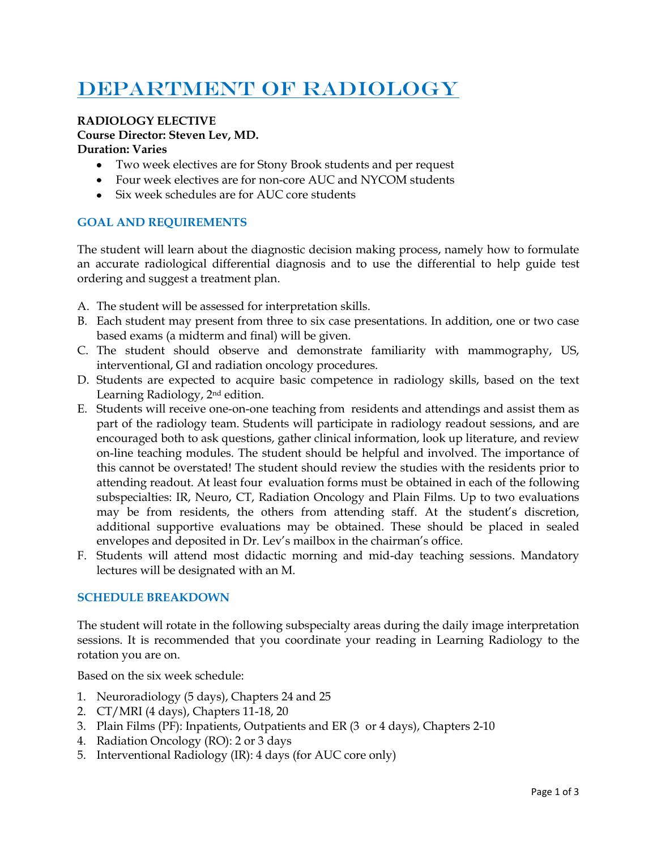# DEPARTMENT OF RADIOLOGY

## **RADIOLOGY ELECTIVE**

#### **Course Director: Steven Lev, MD.**

#### **Duration: Varies**

- Two week electives are for Stony Brook students and per request
- Four week electives are for non-core AUC and NYCOM students
- Six week schedules are for AUC core students

### **GOAL AND REQUIREMENTS**

The student will learn about the diagnostic decision making process, namely how to formulate an accurate radiological differential diagnosis and to use the differential to help guide test ordering and suggest a treatment plan.

- A. The student will be assessed for interpretation skills.
- B. Each student may present from three to six case presentations. In addition, one or two case based exams (a midterm and final) will be given.
- C. The student should observe and demonstrate familiarity with mammography, US, interventional, GI and radiation oncology procedures.
- D. Students are expected to acquire basic competence in radiology skills, based on the text Learning Radiology, 2nd edition.
- E. Students will receive one-on-one teaching from residents and attendings and assist them as part of the radiology team. Students will participate in radiology readout sessions, and are encouraged both to ask questions, gather clinical information, look up literature, and review on-line teaching modules. The student should be helpful and involved. The importance of this cannot be overstated! The student should review the studies with the residents prior to attending readout. At least four evaluation forms must be obtained in each of the following subspecialties: IR, Neuro, CT, Radiation Oncology and Plain Films. Up to two evaluations may be from residents, the others from attending staff. At the student's discretion, additional supportive evaluations may be obtained. These should be placed in sealed envelopes and deposited in Dr. Lev's mailbox in the chairman's office.
- F. Students will attend most didactic morning and mid-day teaching sessions. Mandatory lectures will be designated with an M.

#### **SCHEDULE BREAKDOWN**

The student will rotate in the following subspecialty areas during the daily image interpretation sessions. It is recommended that you coordinate your reading in Learning Radiology to the rotation you are on.

Based on the six week schedule:

- 1. Neuroradiology (5 days), Chapters 24 and 25
- 2. CT/MRI (4 days), Chapters 11-18, 20
- 3. Plain Films (PF): Inpatients, Outpatients and ER (3 or 4 days), Chapters 2-10
- 4. Radiation Oncology (RO): 2 or 3 days
- 5. Interventional Radiology (IR): 4 days (for AUC core only)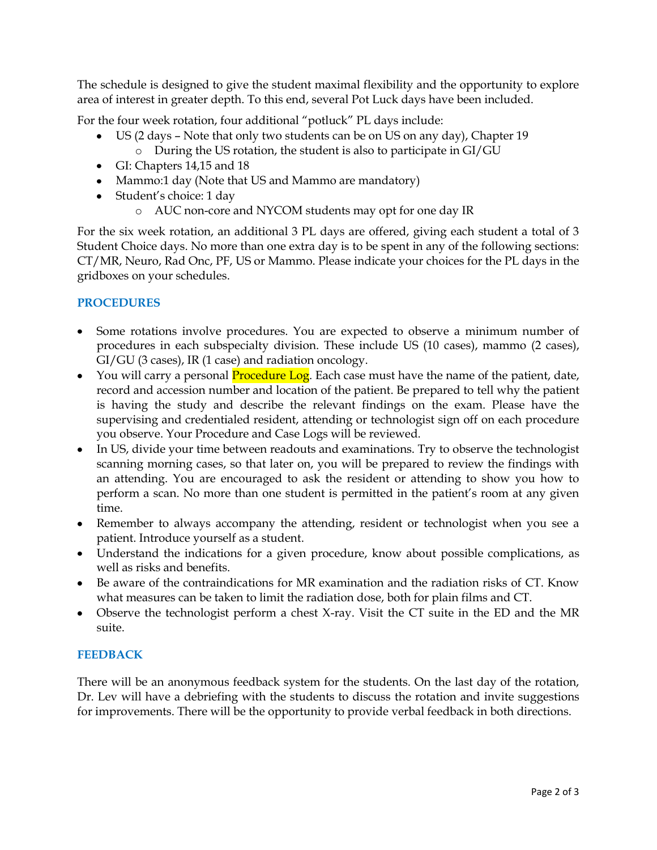The schedule is designed to give the student maximal flexibility and the opportunity to explore area of interest in greater depth. To this end, several Pot Luck days have been included.

For the four week rotation, four additional "potluck" PL days include:

- US (2 days Note that only two students can be on US on any day), Chapter 19
	- o During the US rotation, the student is also to participate in GI/GU
- GI: Chapters 14,15 and 18
- Mammo:1 day (Note that US and Mammo are mandatory)
- Student's choice: 1 day
	- o AUC non-core and NYCOM students may opt for one day IR

For the six week rotation, an additional 3 PL days are offered, giving each student a total of 3 Student Choice days. No more than one extra day is to be spent in any of the following sections: CT/MR, Neuro, Rad Onc, PF, US or Mammo. Please indicate your choices for the PL days in the gridboxes on your schedules.

#### **PROCEDURES**

- Some rotations involve procedures. You are expected to observe a minimum number of procedures in each subspecialty division. These include US (10 cases), mammo (2 cases), GI/GU (3 cases), IR (1 case) and radiation oncology.
- You will carry a personal **Procedure Log**. Each case must have the name of the patient, date, record and accession number and location of the patient. Be prepared to tell why the patient is having the study and describe the relevant findings on the exam. Please have the supervising and credentialed resident, attending or technologist sign off on each procedure you observe. Your Procedure and Case Logs will be reviewed.
- In US, divide your time between readouts and examinations. Try to observe the technologist scanning morning cases, so that later on, you will be prepared to review the findings with an attending. You are encouraged to ask the resident or attending to show you how to perform a scan. No more than one student is permitted in the patient's room at any given time.
- Remember to always accompany the attending, resident or technologist when you see a patient. Introduce yourself as a student.
- Understand the indications for a given procedure, know about possible complications, as well as risks and benefits.
- Be aware of the contraindications for MR examination and the radiation risks of CT. Know what measures can be taken to limit the radiation dose, both for plain films and CT.
- Observe the technologist perform a chest X-ray. Visit the CT suite in the ED and the MR suite.

#### **FEEDBACK**

There will be an anonymous feedback system for the students. On the last day of the rotation, Dr. Lev will have a debriefing with the students to discuss the rotation and invite suggestions for improvements. There will be the opportunity to provide verbal feedback in both directions.